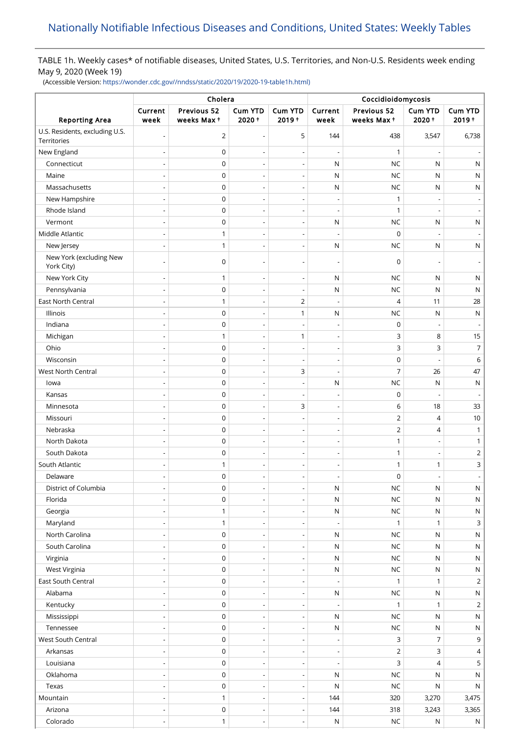# TABLE 1h. Weekly cases\* of notifiable diseases, United States, U.S. Territories, and Non-U.S. Residents week ending May 9, 2020 (Week 19)

(Accessible Version: [https://wonder.cdc.gov//nndss/static/2020/19/2020-19-table1h.html\)](https://wonder.cdc.gov//nndss/static/2020/19/2020-19-table1h.html)

|                                               | Cholera                      |                           |                          |                            | Coccidioidomycosis       |                           |                          |                     |
|-----------------------------------------------|------------------------------|---------------------------|--------------------------|----------------------------|--------------------------|---------------------------|--------------------------|---------------------|
| <b>Reporting Area</b>                         | Current<br>week              | Previous 52<br>weeks Max+ | <b>Cum YTD</b><br>2020+  | <b>Cum YTD</b><br>$2019 +$ | Current<br>week          | Previous 52<br>weeks Max+ | Cum YTD<br>$2020 +$      | Cum YTD<br>$2019 +$ |
| U.S. Residents, excluding U.S.<br>Territories |                              | $\overline{2}$            | $\overline{\phantom{a}}$ | 5                          | 144                      | 438                       | 3,547                    | 6,738               |
| New England                                   |                              | $\mathbf 0$               |                          | $\overline{\phantom{a}}$   | L                        | 1                         |                          |                     |
| Connecticut                                   |                              | $\mathbf 0$               |                          | $\overline{\phantom{a}}$   | N                        | <b>NC</b>                 | N                        | N                   |
| Maine                                         | $\overline{a}$               | 0                         | $\overline{\phantom{a}}$ | $\overline{\phantom{a}}$   | N                        | <b>NC</b>                 | N                        | N                   |
| Massachusetts                                 | $\overline{a}$               | 0                         | $\overline{\phantom{0}}$ | $\overline{\phantom{a}}$   | N                        | <b>NC</b>                 | N                        | N                   |
| New Hampshire                                 |                              | 0                         | $\overline{\phantom{a}}$ | $\overline{\phantom{a}}$   | $\overline{\phantom{a}}$ | 1                         |                          |                     |
| Rhode Island                                  |                              | $\mathbf 0$               |                          | ÷,                         | ÷,                       | $\mathbf{1}$              |                          |                     |
| Vermont                                       |                              | $\mathbf 0$               | ÷,                       | $\overline{\phantom{a}}$   | ${\sf N}$                | <b>NC</b>                 | $\mathsf{N}$             | ${\sf N}$           |
| Middle Atlantic                               |                              | $\mathbf{1}$              | $\overline{\phantom{a}}$ | $\overline{\phantom{a}}$   | ÷,                       | 0                         |                          |                     |
| New Jersey                                    | $\overline{a}$               | $\mathbf{1}$              | $\overline{\phantom{a}}$ | $\overline{\phantom{a}}$   | N                        | <b>NC</b>                 | N                        | N                   |
| New York (excluding New<br>York City)         |                              | $\mathbf 0$               |                          | $\overline{\phantom{a}}$   | $\overline{\phantom{a}}$ | $\mathbf 0$               |                          |                     |
| New York City                                 |                              | 1                         |                          | $\overline{\phantom{a}}$   | N                        | <b>NC</b>                 | N                        | N                   |
| Pennsylvania                                  | $\overline{a}$               | $\mathbf 0$               | $\overline{\phantom{a}}$ | $\overline{\phantom{a}}$   | N                        | <b>NC</b>                 | N                        | N                   |
| <b>East North Central</b>                     |                              | 1                         |                          | $\overline{2}$             | Ĭ.                       | $\overline{4}$            | 11                       | 28                  |
| Illinois                                      | $\overline{a}$               | 0                         | $\overline{\phantom{0}}$ | 1                          | N                        | <b>NC</b>                 | N                        | $\mathsf{N}$        |
| Indiana                                       | $\overline{\phantom{0}}$     | 0                         | $\overline{\phantom{a}}$ | $\overline{\phantom{a}}$   | $\overline{\phantom{a}}$ | $\pmb{0}$                 | $\overline{\phantom{a}}$ |                     |
| Michigan                                      |                              | $\mathbf{1}$              | $\overline{\phantom{a}}$ | 1                          | $\overline{\phantom{a}}$ | 3                         | 8                        | 15                  |
| Ohio                                          | $\overline{a}$               | $\mathbf 0$               | ÷,                       | $\overline{\phantom{a}}$   | $\overline{a}$           | 3                         | 3                        | $\overline{7}$      |
| Wisconsin                                     |                              | $\mathbf 0$               |                          | $\overline{\phantom{a}}$   | $\overline{a}$           | $\mathbf 0$               |                          | 6                   |
| West North Central                            | $\overline{a}$               | $\mathbf 0$               | $\overline{\phantom{a}}$ | 3                          | $\overline{\phantom{a}}$ | $\overline{7}$            | 26                       | 47                  |
| lowa                                          |                              | $\pmb{0}$                 |                          |                            | N                        | <b>NC</b>                 | N                        | $\mathsf{N}$        |
| Kansas                                        |                              | $\mathbf 0$               | $\overline{a}$           | $\overline{\phantom{a}}$   | $\overline{\phantom{a}}$ | $\mathsf 0$               |                          |                     |
| Minnesota                                     |                              | $\mathbf 0$               |                          | 3                          | ł,                       | 6                         | 18                       | 33                  |
| Missouri                                      |                              | $\mathbf 0$               | $\overline{a}$           | $\overline{\phantom{a}}$   | $\overline{\phantom{a}}$ | $\overline{2}$            | 4                        | 10                  |
| Nebraska                                      |                              | $\mathbf 0$               |                          | $\overline{\phantom{a}}$   | L                        | 2                         | $\overline{4}$           | $\mathbf{1}$        |
| North Dakota                                  |                              | $\mathbf 0$               | $\overline{a}$           | $\overline{\phantom{a}}$   | $\overline{\phantom{m}}$ | $\mathbf{1}$              |                          | 1                   |
| South Dakota                                  |                              | $\mathbf 0$               | $\overline{\phantom{a}}$ | $\overline{\phantom{a}}$   | $\overline{\phantom{a}}$ | $\mathbf{1}$              |                          | 2                   |
| South Atlantic                                | $\overline{a}$               | 1                         | $\overline{\phantom{a}}$ | $\overline{\phantom{a}}$   | $\overline{\phantom{m}}$ | $\mathbf{1}$              | 1                        | 3                   |
| Delaware                                      | $\overline{\phantom{0}}$     | $\mathbf 0$               | $\overline{\phantom{a}}$ | $\overline{\phantom{a}}$   | $\overline{\phantom{a}}$ | $\mathsf 0$               | $\overline{\phantom{0}}$ |                     |
| District of Columbia                          | $\overline{\phantom{m}}$     | 0                         | $\overline{a}$           | $\overline{\phantom{a}}$   | ${\sf N}$                | $NC$                      | ${\sf N}$                | $\mathsf{N}$        |
| Florida                                       | $\overline{a}$               | $\mathsf 0$               | $\overline{\phantom{a}}$ | $\overline{\phantom{a}}$   | ${\sf N}$                | <b>NC</b>                 | N                        | $\mathsf N$         |
| Georgia                                       |                              | $\mathbf{1}$              |                          | $\overline{\phantom{a}}$   | ${\sf N}$                | $NC$                      | ${\sf N}$                | $\mathsf{N}$        |
| Maryland                                      | $\overline{\phantom{0}}$     | $\mathbf{1}$              | $\overline{\phantom{a}}$ | $\overline{\phantom{a}}$   | $\overline{\phantom{a}}$ | $\mathbf{1}$              | 1                        | 3                   |
| North Carolina                                |                              | $\pmb{0}$                 |                          |                            | N                        | <b>NC</b>                 | N                        | $\mathsf{N}$        |
| South Carolina                                | $\overline{a}$               | $\mathbf 0$               | $\overline{\phantom{a}}$ | $\overline{\phantom{a}}$   | ${\sf N}$                | <b>NC</b>                 | N                        | $\mathsf{N}$        |
| Virginia                                      | $\overline{a}$               | 0                         | $\overline{a}$           | ÷,                         | N                        | <b>NC</b>                 | ${\sf N}$                | $\mathsf{N}$        |
| West Virginia                                 | $\qquad \qquad \blacksquare$ | 0                         | $\overline{\phantom{a}}$ | $\overline{\phantom{a}}$   | $\mathsf{N}$             | $NC$                      | ${\sf N}$                | $\mathsf{N}$        |
| East South Central                            | $\overline{\phantom{0}}$     | 0                         | $\overline{\phantom{a}}$ | $\overline{\phantom{a}}$   | $\overline{\phantom{a}}$ | 1                         | $\mathbf{1}$             | $\overline{2}$      |
| Alabama                                       |                              | 0                         | $\overline{\phantom{a}}$ | $\overline{\phantom{a}}$   | ${\sf N}$                | $NC$                      | N                        | $\mathsf N$         |
| Kentucky                                      | $\overline{a}$               | $\mathsf 0$               | $\overline{\phantom{a}}$ | $\overline{\phantom{a}}$   | $\overline{\phantom{a}}$ | $\mathbf{1}$              | $\mathbf{1}$             | $\overline{2}$      |
| Mississippi                                   | $\overline{a}$               | 0                         | $\overline{a}$           | $\overline{\phantom{a}}$   | ${\sf N}$                | <b>NC</b>                 | N                        | N                   |
| Tennessee                                     | $\overline{a}$               | $\pmb{0}$                 | $\overline{\phantom{a}}$ | $\overline{\phantom{a}}$   | ${\sf N}$                | <b>NC</b>                 | ${\sf N}$                | $\mathsf{N}$        |
| West South Central                            |                              | 0                         | ÷,                       | $\overline{\phantom{a}}$   | $\overline{\phantom{a}}$ | 3                         | 7                        | 9                   |
| Arkansas                                      | $\qquad \qquad \blacksquare$ | 0                         | $\overline{\phantom{a}}$ | $\overline{\phantom{a}}$   | $\overline{\phantom{a}}$ | $\overline{2}$            | 3                        | 4                   |
| Louisiana                                     |                              | $\pmb{0}$                 |                          | $\overline{\phantom{a}}$   | Ĭ.                       | 3                         | 4                        | 5                   |
| Oklahoma                                      | $\overline{a}$               | 0                         | $\overline{\phantom{a}}$ | $\overline{\phantom{a}}$   | ${\sf N}$                | <b>NC</b>                 | N                        | $\mathsf{N}$        |
| Texas                                         |                              | 0                         | $\overline{a}$           | $\overline{\phantom{a}}$   | N                        | <b>NC</b>                 | N                        | $\mathsf{N}$        |
| Mountain                                      |                              | $\mathbf{1}$              | $\overline{\phantom{a}}$ | $\overline{\phantom{a}}$   | 144                      | 320                       | 3,270                    | 3,475               |
| Arizona                                       |                              | $\mathsf 0$               | $\overline{\phantom{a}}$ | $\overline{\phantom{a}}$   | 144                      | 318                       | 3,243                    | 3,365               |
| Colorado                                      | ÷,                           | $\mathbf{1}$              | $\overline{\phantom{a}}$ | $\overline{\phantom{a}}$   | N                        | <b>NC</b>                 | ${\sf N}$                | $\mathsf{N}$        |